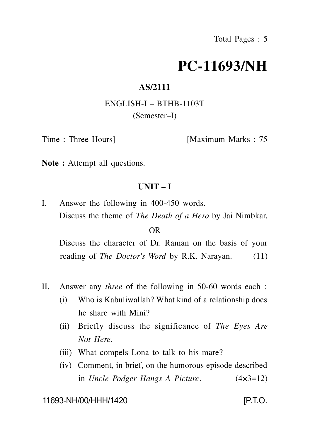# **PC-11693/NH**

### **AS/2111**

# ENGLISH-I – BTHB-1103T (Semester–I)

Time : Three Hours [Maximum Marks : 75

**Note :** Attempt all questions.

# **UNIT – I**

I. Answer the following in 400-450 words. Discuss the theme of *The Death of a Hero* by Jai Nimbkar.

#### OR

Discuss the character of Dr. Raman on the basis of your reading of *The Doctor's Word* by R.K. Narayan. (11)

- II. Answer any *three* of the following in 50-60 words each :
	- (i) Who is Kabuliwallah? What kind of a relationship does he share with Mini?
	- (ii) Briefly discuss the significance of *The Eyes Are Not Here.*
	- (iii) What compels Lona to talk to his mare?
	- (iv) Comment, in brief, on the humorous episode described in *Uncle Podger Hangs A Picture*. (4×3=12)

11693-NH/00/HHH/1420 [P.T.O.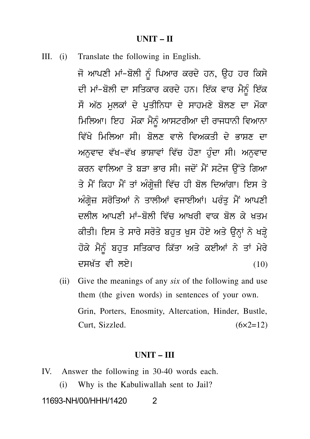#### **UNIT – II**

III. (i) Translate the following in English.

**UNIT – II<br>Translate the following in English.<br>ਜੋ ਆਪਣੀ ਮਾਂ-ਬੋਲੀ ਨੂੰ ਪਿਆਰ ਕਰਦੇ ਹਨ, ਉਹ ਹਰ ਕਿਸੇ<br>ਦੀ ਮਾਂ-ਬੋਲੀ ਦਾ ਸਤਿਕਾਰ ਕਰਦੇ ਹਨ। ਇੱਕ ਵਾਰ ਮੈਨੂੰ ਇੱਕ<br>ਜੋ ਅੱਠ ਮਲਕਾਂ ਦੇ ਪਤੀਤਿਸ਼ਾ ਦੇ ਸ਼ਾਹਮਣੇ ਬੋਲਣ ਦਾ ਮੌਕਾ** Translate the following in English.<br>ਜੋ ਆਪਣੀ ਮਾਂ-ਬੋਲੀ ਨੂੰ ਪਿਆਰ ਕਰਦੇ ਹਨ, ਉਹ ਹਰ ਕਿਸੇ<br>ਦੀ ਮਾਂ-ਬੋਲੀ ਦਾ ਸਤਿਕਾਰ ਕਰਦੇ ਹਨ। ਇੱਕ ਵਾਰ ਮੈਨੂੰ ਇੱਕ<br>ਸੌ ਅੱਠ ਮੁਲਕਾਂ ਦੇ ਪ੍ਰਤੀਨਿਧਾ ਦੇ ਸਾਹਮਣੇ ਬੋਲਣ ਦਾ ਮੌਕਾ<br>ਪਿਲਿਆ। ਇਹ ਪੌਕਾ ਪੈਨੂੰ ਆਸਟਰੀਆ ਦੀ ਰਾਹਾਸਨੀ ਸਜ਼ਸ਼ਜ਼ਜ਼ਦ ਜਦ ਸਹਿਲਾਜ਼ਦੂ ਜਾ ਸੁਸ਼ਤਸ਼ਜ਼<br>ਜੋ ਆਪਣੀ ਮਾਂ-ਬੋਲੀ ਨੂੰ ਪਿਆਰ ਕਰਦੇ ਹਨ, ਉਹ ਹਰ ਕਿਸੇ<br>ਦੀ ਮਾਂ-ਬੋਲੀ ਦਾ ਸਤਿਕਾਰ ਕਰਦੇ ਹਨ। ਇੱਕ ਵਾਰ ਮੈਨੂੰ ਇੱਕ<br>ਸੌ ਅੱਠ ਮੁਲਕਾਂ ਦੇ ਪ੍ਰਤੀਨਿਧਾ ਦੇ ਸਾਹਮਣੇ ਬੋਲਣ ਦਾ ਮੌਕਾ<br>ਮਿਲਿਆ। ਇਹ ਮੌਕਾ ਮੈਨੂੰ ਆਸਟਰੀਆ ਦੀ ਰਾਜਧਾਨੀ ਜੋ ਆਪਣੀ ਮਾਂ–ਬੋਲੀ ਨੂੰ ਪਿਆਰ ਕਰਦੇ ਹਨ, ਉਹ ਹਰ ਕਿਸੇ<br>ਦੀ ਮਾਂ–ਬੋਲੀ ਦਾ ਸਤਿਕਾਰ ਕਰਦੇ ਹਨ। ਇੱਕ ਵਾਰ ਮੈਨੂੰ ਇੱਕ<br>ਸੌ ਅੱਠ ਮੁਲਕਾਂ ਦੇ ਪ੍ਰਤੀਨਿਧਾ ਦੇ ਸਾਹਮਣੇ ਬੋਲਣ ਦਾ ਮੌਕਾ<br>ਮਿਲਿਆ। ਇਹ ਮੌਕਾ ਮੈਨੂੰ ਆਸਟਰੀਆ ਦੀ ਰਾਜਧਾਨੀ ਵਿਆਨਾ<br>ਵਿੱਖੇ ਮਿਲਿਆ ਸੀ। ਬੋਲਣ ਵਾਲੇ ਵਿਅਕ ਮਿਲਿਆ। ਇਹ ਮੌਕਾ ਮੈਨੂੰ ਆਸਟਰੀਆ ਦੀ ਰਾਜਧਾਨੀ ਵਿਆਨਾ<br>ਵਿੱਖੇ ਮਿਲਿਆ ਸੀ। ਬੋਲਣ ਵਾਲੇ ਵਿਅਕਤੀ ਦੇ ਭਾਸ਼ਣ ਦਾ<br>ਅਨੁਵਾਦ ਵੱਖ-ਵੱਖ ਭਾਸ਼ਾਵਾਂ ਵਿੱਚ ਹੋਣਾ ਹੁੰਦਾ ਸੀ। ਅਨੁਵਾਦ<br>ਕਰਨ ਵਾਲਿਆ ਤੇ ਬੜਾ ਭਾਰ ਸੀ। ਜਦੋਂ ਮੈਂ ਸਟੇਜ ਉੱਤੇ ਗਿਆ ਸ ਅਤੇ ਸੁਲਕਾਂ ਦੇ ਪ੍ਰਤਜਨਾਰਾਂ ਦੇ ਸਾਹਮਣ ਬਲਣ ਦਾ ਸਕਾਂ<br>ਮਿਲਿਆ। ਇਹ ਮੌਕਾ ਮੈਨੂੰ ਆਸਟਰੀਆ ਦੀ ਰਾਜਧਾਨੀ ਵਿਆਨਾ<br>ਵਿੱਖੇ ਮਿਲਿਆ ਸੀ। ਬੋਲਣ ਵਾਲੇ ਵਿਅਕਤੀ ਦੇ ਭਾਸ਼ਣ ਦਾ<br>ਅਨੁਵਾਦ ਵੱਖ–ਵੱਖ ਭਾਸ਼ਾਵਾਂ ਵਿੱਚ ਹੋਣਾ ਹੁੰਦਾ ਸੀ। ਅਨੁਵਾਦ<br>ਕਰਨ ਵਾਲਿਆ ਤੇ ਬੜਾ ਭਾਰ ਸੀ। ਜਦੋਂ ਮ ਸਿਲਿਆ ਸਿਰ ਸਕ ਸੋਹੂ ਆਸਟਰਾਂਆਂ ਦਾ ਰਾਜਧਾਨੀ ਵਿਅਤਾਂ<br>ਵਿੱਖੇ ਮਿਲਿਆ ਸੀ। ਬੋਲਣ ਵਾਲੇ ਵਿਅਕਤੀ ਦੇ ਭਾਸ਼ਣ ਦਾ<br>ਅਨੁਵਾਦ ਵੱਖ-ਵੱਖ ਭਾਸ਼ਾਵਾਂ ਵਿੱਚ ਹੋਣਾ ਹੁੰਦਾ ਸੀ। ਅਨੁਵਾਦ<br>ਕਰਨ ਵਾਲਿਆ ਤੇ ਬੜਾ ਭਾਰ ਸੀ। ਜਦੋਂ ਮੈਂ ਸਟੇਜ ਉੱਤੇ ਗਿਆ<br>ਤੇ ਮੈਂ ਕਿਹਾ ਮੈਂ ਤਾਂ ਅੰਗ੍ਰੇਜ਼ੀ ਵ ਵਿਧ ਸਿਲਿਆ ਸਿੰਮ ਬੋਲੈਣ ਵਾਲ ਵਿਅਕਤੀ ਦ ਭਾਸ਼ਣ ਦਾ<br>ਅਨੁਵਾਦ ਵੱਖ-ਵੱਖ ਭਾਸ਼ਾਵਾਂ ਵਿੱਚ ਹੋਣਾ ਹੁੰਦਾ ਸੀ। ਅਨੁਵਾਦ<br>ਕਰਨ ਵਾਲਿਆ ਤੇ ਬੜਾ ਭਾਰ ਸੀ। ਜਦੋਂ ਮੈਂ ਸਟੇਜ ਉੱਤੇ ਗਿਆ<br>ਤੇ ਮੈਂ ਕਿਹਾ ਮੈਂ ਤਾਂ ਅੰਗ੍ਰੇਜ਼ੀ ਵਿੱਚ ਹੀ ਬੋਲ ਦਿਆਂਗਾ। ਇਸ ਤੇ<br>ਅੰਗ੍ਰੇਜ਼ ਸਰੋਤਿਆਂ ਨੇ ਤਾ ਅਨੁਵਾਦ ਵਧ=ਵਧ ਭਾਸ਼ਾਵਾਂ ਵਿਚ ਹੋਣਾਂ ਹੁੰਦਾ ਸੀ। ਅਨੁਵਾਦ<br>ਕਰਨ ਵਾਲਿਆ ਤੇ ਬੜਾ ਭਾਰ ਸੀ। ਜਦੋਂ ਮੈਂ ਸਟੇਜ ਉੱਤੇ ਗਿਆ<br>ਤੇ ਮੈਂ ਕਿਹਾ ਮੈਂ ਤਾਂ ਅੰਗ੍ਰੇਜ਼ੀ ਵਿੱਚ ਹੀ ਬੋਲ ਦਿਆਂਗਾ। ਇਸ ਤੇ<br>ਅੰਗ੍ਰੇਜ਼ ਸਰੋਤਿਆਂ ਨੇ ਤਾਲੀਆਂ ਵਜਾਈਆਂ। ਪਰੰਤੁ ਮੈਂ ਆਪਣੀ<br>ਦਲੀਲ ਆਪਣੀ ਮਾਂ-ਬੋਲ ਕਰਨ ਵਾਲਿਆ ਤ ਬੜਾ ਭਾਰ ਸੀ। ਜਦ ਸ ਸਟਜ ਚੁੱਤ ਜਗਲਾ<br>ਤੇ ਮੈਂ ਕਿਹਾ ਮੈਂ ਤਾਂ ਅੰਗ੍ਰੇਜ਼ੀ ਵਿੱਚ ਹੀ ਬੋਲ ਦਿਆਂਗਾ। ਇਸ ਤੇ<br>ਅੰਗ੍ਰੇਜ਼ ਸਰੋਤਿਆਂ ਨੇ ਤਾਲੀਆਂ ਵਜਾਈਆਂ। ਪਰੰਤੁ ਮੈਂ ਆਪਣੀ<br>ਦਲੀਲ ਆਪਣੀ ਮਾਂ-ਬੋਲੀ ਵਿੱਚ ਆਖਰੀ ਵਾਕ ਬੋਲ ਕੇ ਖ਼ਤਮ<br>ਕੀਤੀ। ਇਸ ਤੇ ਸਾਰੇ ਸਰੋਤੇ ਬਹੁ ਤ ਸਾਕਿਰਾਂ ਸਾਂ ਤਾਂ ਅਗ੍ਰੇਜ਼। ਵਿੱਚ ਹੀ ਬੋਲ ਦਿਆਗਾ। ਇਸ ਤੇ<br>ਅੰਗ੍ਰੇਜ਼ ਸਰੋਤਿਆਂ ਨੇ ਤਾਲੀਆਂ ਵਜਾਈਆਂ। ਪਰੰਤੁ ਮੈਂ ਆਪਣੀ<br>ਦਲੀਲ ਆਪਣੀ ਮਾਂ-ਬੋਲੀ ਵਿੱਚ ਆਖਰੀ ਵਾਕ ਬੋਲ ਕੇ ਖ਼ਤਮ<br>ਕੀਤੀ। ਇਸ ਤੇ ਸਾਰੇ ਸਰੋਤੇ ਬਹੁਤ ਖ਼ੁਸ ਹੋਏ ਅਤੇ ਉਨ੍ਹਾਂ ਨੇ ਖੜ੍ਹੇ<br>ਹੋਕੇ ਮੈਨੂੰ ਬਹੁਤ ਅਗ੍ਰੇਜ਼ ਸੋਗਤਆ ਨੇ ਤਾਲੀਆਂ ਵਜਾਗਾਂਜ ਖੋਰਤੁ ਸ ਆਖਣੀ<br>ਦਲੀਲ ਆਪਣੀ ਮਾਂ-ਬੋਲੀ ਵਿੱਚ ਆਖਰੀ ਵਾਕ ਬੋਲ ਕੇ ਖ਼ਤਮ<br>ਕੀਤੀ। ਇਸ ਤੇ ਸਾਰੇ ਸਰੋਤੇ ਬਹੁਤ ਖ਼ੁਸ ਹੋਏ ਅਤੇ ਉਨ੍ਹਾਂ ਨੇ ਖੜ੍ਹੇ<br>ਹੋਕੇ ਮੈਨੂੰ ਬਹੁਤ ਸਤਿਕਾਰ ਕਿੱਤਾ ਅਤੇ ਕਈਆਂ ਨੇ ਤਾਂ ਮੇਰੇ<br>ਦਸਖ਼ੱਤ ਵੀ ਲਏ। ਦਲਾਲ ਆਪਣਾ ਸਾ-ਬਲਾ ਵਿਚ ਆਪਰਾ ਵਾਕ ਬਲ ਕ ਪਤਸ<br>ਕੀਤੀ। ਇਸ ਤੇ ਸਾਰੇ ਸਰੋਤੇ ਬਹੁਤ ਖ਼ੁਸ ਹੋਏ ਅਤੇ ਉਨ੍ਹਾਂ ਨੇ ਖੜ੍ਹੇ<br>ਹੋਕੇ ਮੈਨੂੰ ਬਹੁਤ ਸਤਿਕਾਰ ਕਿੱਤਾ ਅਤੇ ਕਈਆਂ ਨੇ ਤਾਂ ਮੇਰੇ<br>ਦਸਖ਼ੱਤ ਵੀ ਲਏ। (10)<br>Give the meanings of any *six* of the following and use

(ii) Give the meanings of any *six* of the following and use them (the given words) in sentences of your own. Grin, Porters, Enosmity, Altercation, Hinder, Bustle, Curt, Sizzled.  $(6 \times 2=12)$ 

#### **UNIT – III**

IV. Answer the following in 30-40 words each.

(i) Why is the Kabuliwallah sent to Jail? 11693-NH/00/HHH/1420 2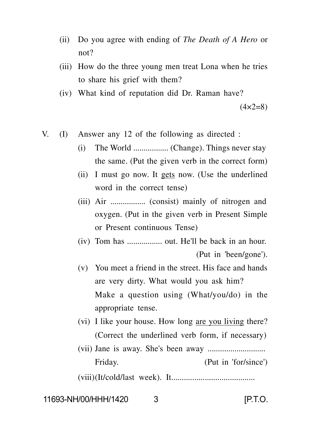- (ii) Do you agree with ending of *The Death of A Hero* or not?
- (iii) How do the three young men treat Lona when he tries to share his grief with them?
- (iv) What kind of reputation did Dr. Raman have?

 $(4 \times 2 = 8)$ 

- V. (I) Answer any 12 of the following as directed :
	- (i) The World ................. (Change). Things never stay the same. (Put the given verb in the correct form)
	- (ii) I must go now. It gets now. (Use the underlined word in the correct tense)
	- (iii) Air ................. (consist) mainly of nitrogen and oxygen. (Put in the given verb in Present Simple or Present continuous Tense)
	- (iv) Tom has ................. out. He'll be back in an hour. (Put in 'been/gone').
	- (v) You meet a friend in the street. His face and hands are very dirty. What would you ask him? Make a question using (What/you/do) in the appropriate tense.
	- (vi) I like your house. How long are you living there? (Correct the underlined verb form, if necessary)
	- (vii) Jane is away. She's been away ............................ Friday. (Put in 'for/since')

(viii)(It/cold/last week). It........................................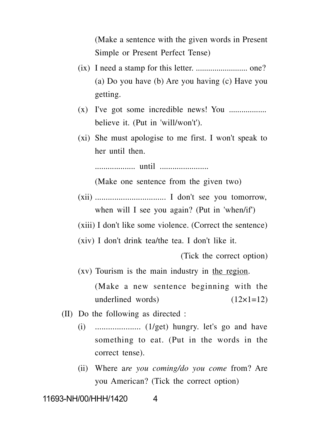(Make a sentence with the given words in Present Simple or Present Perfect Tense)

- (ix) I need a stamp for this letter. ......................... one? (a) Do you have (b) Are you having (c) Have you getting.
- (x) I've got some incredible news! You .................. believe it. (Put in 'will/won't').
- (xi) She must apologise to me first. I won't speak to her until then.

................... until .......................

(Make one sentence from the given two)

- (xii) ................................. I don't see you tomorrow, when will I see you again? (Put in 'when/if')
- (xiii) I don't like some violence. (Correct the sentence)
- (xiv) I don't drink tea/the tea. I don't like it.

(Tick the correct option)

(xv) Tourism is the main industry in the region.

(Make a new sentence beginning with the underlined words)  $(12\times1=12)$ 

- (II) Do the following as directed :
	- (i) ..................... (1/get) hungry. let's go and have something to eat. (Put in the words in the correct tense).
	- (ii) Where a*re you coming/do you come* from? Are you American? (Tick the correct option)

11693-NH/00/HHH/1420 4